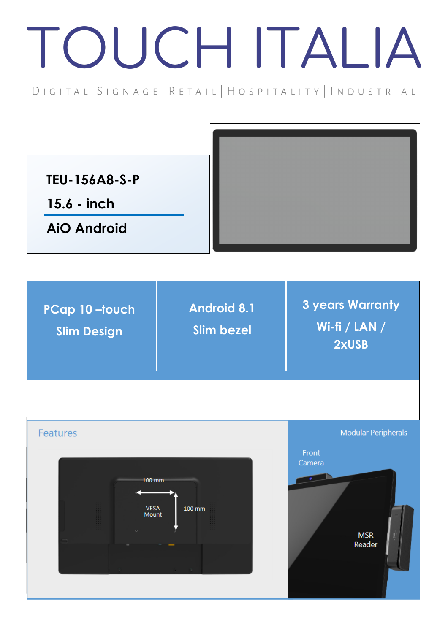## TOUCH ITALIA

DIGITAL SIGNAGE | RETAIL | HOSPITALITY | INDUSTRIAL